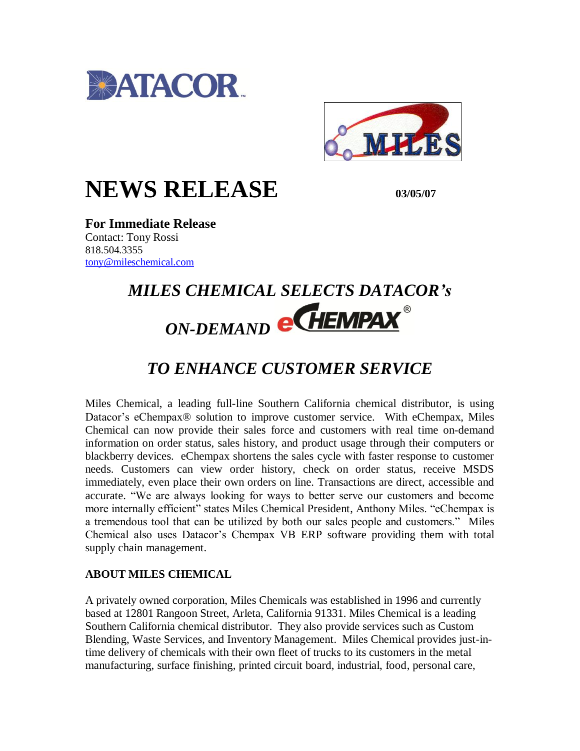



## **NEWS RELEASE 03/05/07**

**For Immediate Release** Contact: Tony Rossi 818.504.3355 [tony@mileschemical.com](mailto:tony@mileschemical.com)

# *MILES CHEMICAL SELECTS DATACOR's*  **ON-DEMAND @ CHEMPAX**

## *TO ENHANCE CUSTOMER SERVICE*

Miles Chemical, a leading full-line Southern California chemical distributor, is using Datacor's eChempax® solution to improve customer service. With eChempax, Miles Chemical can now provide their sales force and customers with real time on-demand information on order status, sales history, and product usage through their computers or blackberry devices. eChempax shortens the sales cycle with faster response to customer needs. Customers can view order history, check on order status, receive MSDS immediately, even place their own orders on line. Transactions are direct, accessible and accurate. "We are always looking for ways to better serve our customers and become more internally efficient" states Miles Chemical President, Anthony Miles. "eChempax is a tremendous tool that can be utilized by both our sales people and customers." Miles Chemical also uses Datacor's Chempax VB ERP software providing them with total supply chain management.

### **ABOUT MILES CHEMICAL**

A privately owned corporation, Miles Chemicals was established in 1996 and currently based at 12801 Rangoon Street, Arleta, California 91331. Miles Chemical is a leading Southern California chemical distributor. They also provide services such as Custom Blending, Waste Services, and Inventory Management. Miles Chemical provides just-intime delivery of chemicals with their own fleet of trucks to its customers in the metal manufacturing, surface finishing, printed circuit board, industrial, food, personal care,